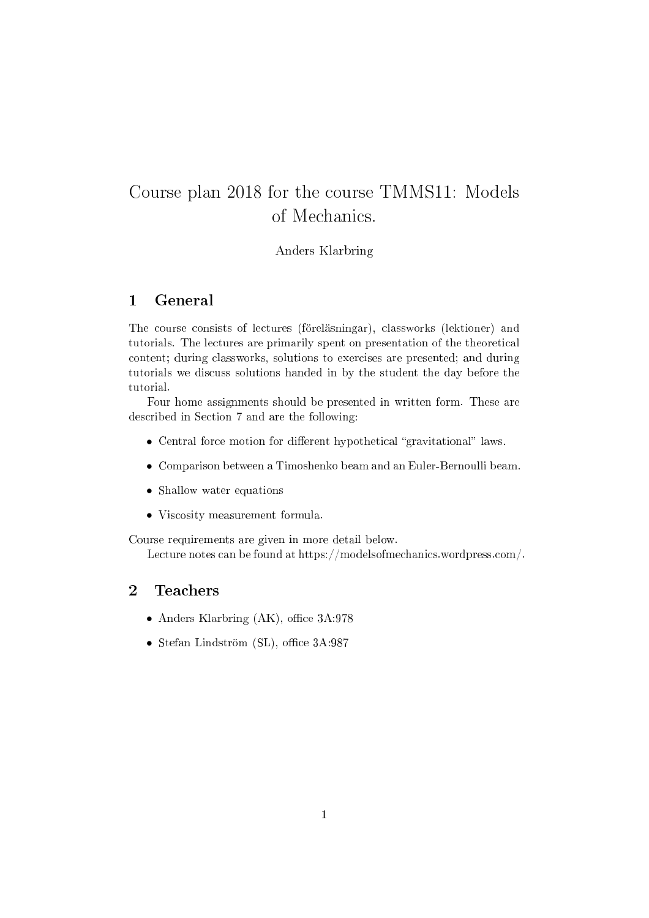# Course plan <sup>2018</sup> for the ourse TMMS11: Models of Mechanics.

## Anders Klarbring

#### $\mathbf{1}$ **General**

The ourse onsists of le
tures (föreläsningar), lassworks (lektioner) and tutorials. The lectures are primarily spent on presentation of the theoretical content; during classworks, solutions to exercises are presented; and during tutorials we discuss solutions handed in by the student the day before the tutorial.

Four home assignments should be presented in written form. These are described in Section 7 and are the following:

- $\bullet$  Central force motion for different hypothetical "gravitational" laws.
- Comparison between a Timoshenko beam and an Euler-Bernoulli beam.
- Shallow water equations
- Viscosity measurement formula.

Course requirements are given in more detail below.

Lecture notes can be found at https://modelsofmechanics.wordpress.com/.

#### $\overline{2}$ **Teachers**

- Anders Klarbring  $(AK)$ , office  $3A:978$
- Stefan Lindström (SL), office  $3A:987$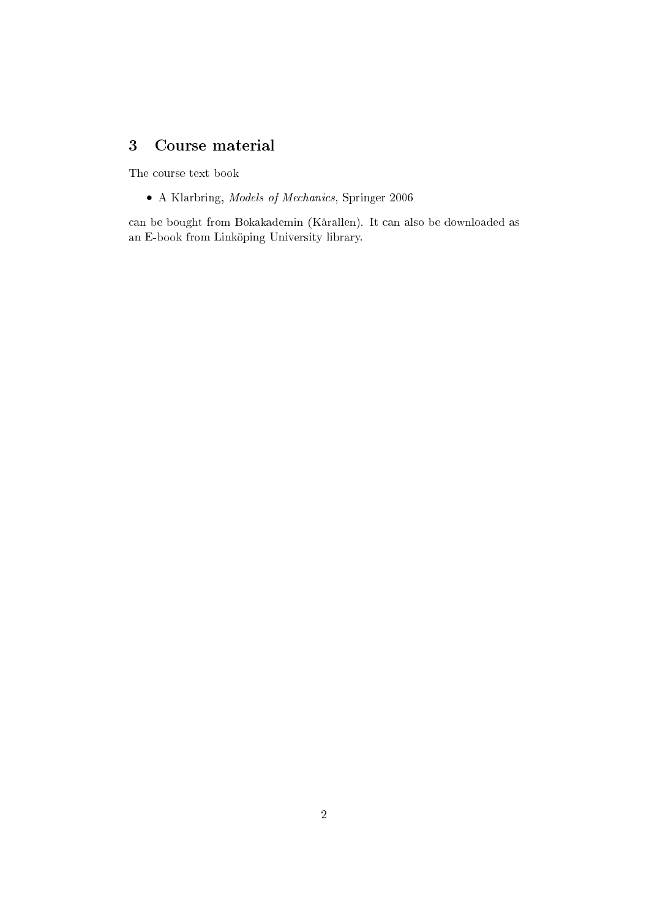# <sup>3</sup> Course material

The course text book

• A Klarbring, Models of Me
hani
s, Springer 2006

an be bought from Bokakademin (Kårallen). It an also be downloaded as an E-book from Linköping University library.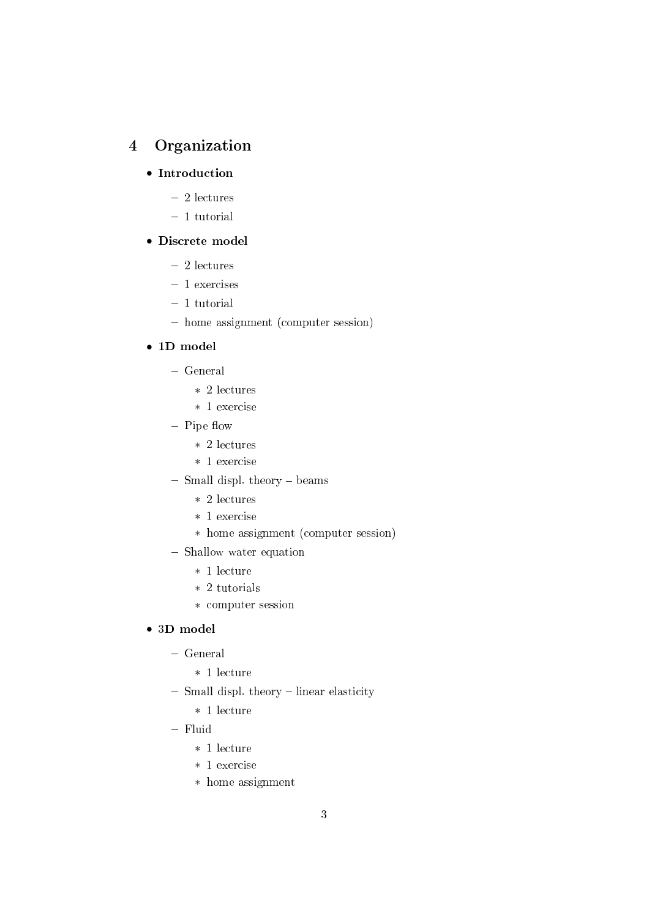# <sup>4</sup> Organization

# • Introduction

- 2 le
tures
- $-1$  tutorial

# • Dis
rete model

- 2 le
tures
- 1 exercises
- $-1$  tutorial
- home assignment (computer session)

# • 1D model

- General
	- ∗ 2 le
	tures
	- ∗ 1 exer
	ise
- $-$  Pipe flow
	- ∗ 2 le
	tures
	- ∗ 1 exer
	ise
- Small displ. theory beams
	- ∗ 2 le
	tures
	- ∗ 1 exer
	ise
	- ∗ home assignment (
	omputer session)
- Shallow water equation
	- ∗ 1 le
	ture
	- ∗ 2 tutorials
	- ∗ omputer session

# • 3D model

- General
	- ∗ 1 le
	ture
- Small displ. theory linear elasticity
	- ∗ 1 le
	ture
- Fluid
	- ∗ 1 le
	ture
	- ∗ 1 exer
	ise
	- ∗ home assignment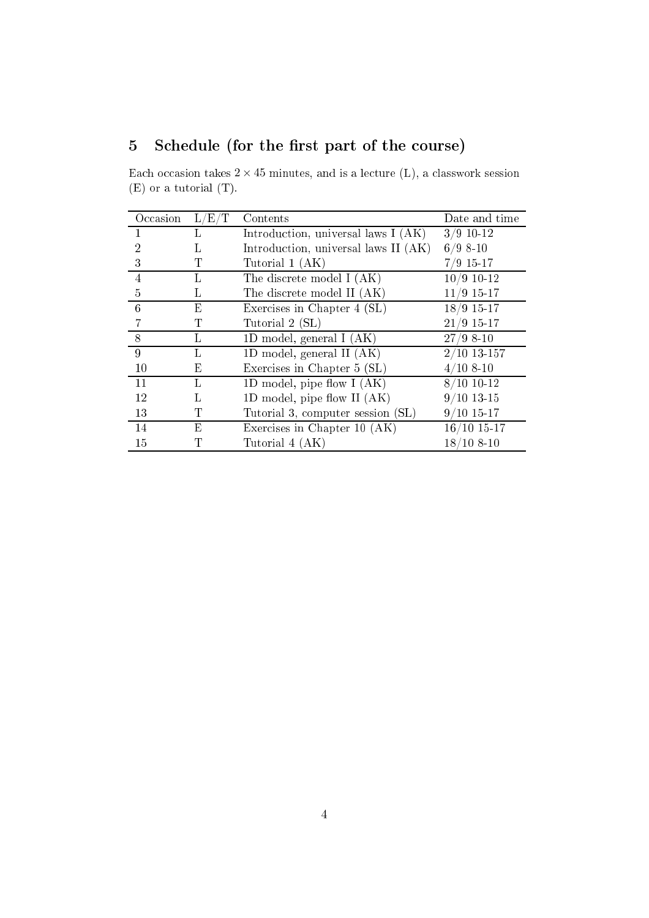# 5 Schedule (for the first part of the course)

Each occasion takes  $2 \times 45$  minutes, and is a lecture (L), a classwork session (E) or a tutorial (T).

| Occasion       | L/E/T | Contents                             | Date and time |
|----------------|-------|--------------------------------------|---------------|
|                |       | Introduction, universal laws I (AK)  | $3/9$ 10-12   |
| $\overline{2}$ | L     | Introduction, universal laws II (AK) | $6/9$ 8-10    |
| 3              | Τ     | Tutorial 1 (AK)                      | $7/9$ 15-17   |
| $\overline{4}$ | L     | The discrete model I (AK)            | $10/9$ 10-12  |
| 5              | L.    | The discrete model II (AK)           | $11/9$ 15-17  |
| 6              | Е     | Exercises in Chapter 4 (SL)          | $18/9$ 15-17  |
|                |       | Tutorial 2 (SL)                      | $21/9$ 15-17  |
| 8              | Ъ     | 1D model, general $I(AK)$            | $27/98-10$    |
| $\overline{9}$ | T.    | 1D model, general II $(AK)$          | $2/10$ 13-157 |
| 10             | Ε     | Exercises in Chapter 5 (SL)          | $4/108-10$    |
| 11             | L     | 1D model, pipe flow $I(AK)$          | $8/10$ 10-12  |
| 12             | Τ.    | 1D model, pipe flow $II(AK)$         | $9/10$ 13-15  |
| 13             |       | Tutorial 3, computer session (SL)    | $9/10$ 15-17  |
| 14             | Ε     | Exercises in Chapter 10 (AK)         | $16/10$ 15-17 |
| 15             |       | Tutorial 4 (AK)                      | $18/108-10$   |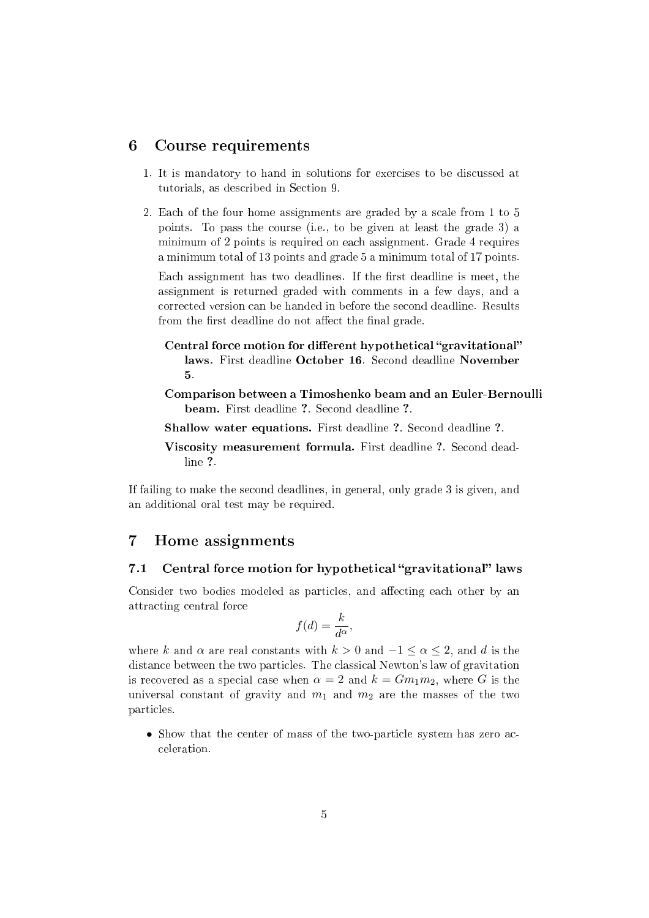## <sup>6</sup> Course requirements

- 1. It is mandatory to hand in solutions for exer
ises to be dis
ussed at tutorials, as described in Section 9.
- 2. Each of the four home assignments are graded by a scale from 1 to 5 points. To pass the ourse (i.e., to be given at least the grade 3) a minimum of 2 points is required on each assignment. Grade 4 requires a minimum total of 13 points and grade 5 a minimum total of 17 points.

Each assignment has two deadlines. If the first deadline is meet, the assignment is returned graded with omments in a few days, and a orre
ted version an be handed in before the se
ond deadline. Results from the first deadline do not affect the final grade.

- Central force motion for different hypothetical "gravitational" laws. First deadline October 16. Second deadline November 5.
- Comparison between a Timoshenko beam and an Euler-Bernoulli beam. First deadline ?. Second deadline ?.
- Shallow water equations. First deadline ?. Second deadline ?.
- Viscosity measurement formula. First deadline ?. Second deadline ?

If failing to make the se
ond deadlines, in general, only grade 3 is given, and an additional oral test may be required.

#### $\overline{7}$ Home assignments

#### $7.1$ Central force motion for hypothetical "gravitational" laws

Consider two bodies modeled as particles, and affecting each other by an attra
ting entral for
e

$$
f(d) = \frac{k}{d^{\alpha}},
$$

where k and  $\alpha$  are real constants with  $k > 0$  and  $-1 \leq \alpha \leq 2$ , and d is the distan
e between the two parti
les. The lassi
al Newton's law of gravitation is recovered as a special case when  $\alpha = 2$  and  $k = Gm_1m_2$ , where G is the universal constant of gravity and  $m_1$  and  $m_2$  are the masses of the two parti
les.

• Show that the center of mass of the two-particle system has zero acceleration.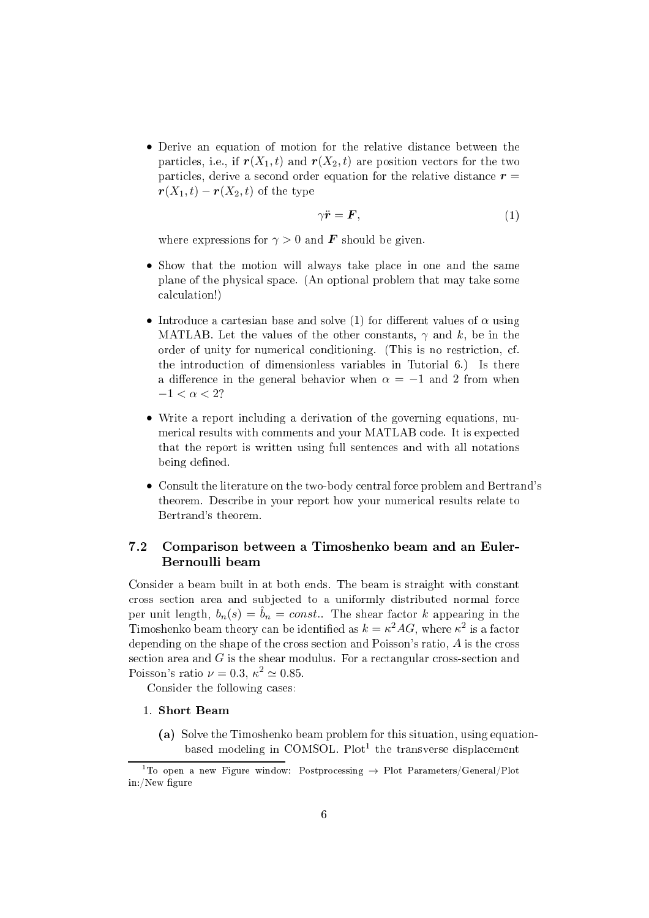• Derive an equation of motion for the relative distan
e between the particles, i.e., if  $r(X_1,t)$  and  $r(X_2,t)$  are position vectors for the two particles, derive a second order equation for the relative distance  $r =$  $\mathbf{r}(X_1,t) - \mathbf{r}(X_2,t)$  of the type

$$
\gamma \ddot{\mathbf{r}} = \mathbf{F},\tag{1}
$$

where expressions for  $\gamma > 0$  and **F** should be given.

- Show that the motion will always take place in one and the same plane of the physi
al spa
e. (An optional problem that may take some al
ulation!)
- Introduce a cartesian base and solve (1) for different values of  $\alpha$  using MATLAB. Let the values of the other constants,  $\gamma$  and k, be in the order of unity for numerical conditioning. (This is no restriction, cf. the introdu
tion of dimensionless variables in Tutorial 6.) Is there a difference in the general behavior when  $\alpha = -1$  and 2 from when  $-1 < \alpha < 2$ ?
- Write a report in
luding a derivation of the governing equations, numerical results with comments and your MATLAB code. It is expected that the report is written using full senten
es and with all notations being defined.
- Consult the literature on the two-body entral for
e problem and Bertrand's theorem. Des
ribe in your report how your numeri
al results relate to Bertrand's theorem.

# 7.2 Comparison between <sup>a</sup> Timoshenko beam and an Euler-Bernoulli beam

Consider a beam built in at both ends. The beam is straight with onstant cross section area and subjected to a uniformly distributed normal force per unit length,  $b_n(s) = \hat{b}_n = const.$  The shear factor k appearing in the Timoshenko beam theory can be identified as  $k = \kappa^2 A G$ , where  $\kappa^2$  is a factor depending on the shape of the cross section and Poisson's ratio, A is the cross section area and  $G$  is the shear modulus. For a rectangular cross-section and Poisson's ratio  $\nu = 0.3$ ,  $\kappa^2 \simeq 0.85$ .

Consider the following ases:

## 1. Short Beam

(a) Solve the Timoshenko beam problem for this situation, using equationbased modeling in COMSOL. Plot the transverse displacement

<sup>&</sup>lt;sup>1</sup>To open a new Figure window: Postprocessing  $\rightarrow$  Plot Parameters/General/Plot in:/New figure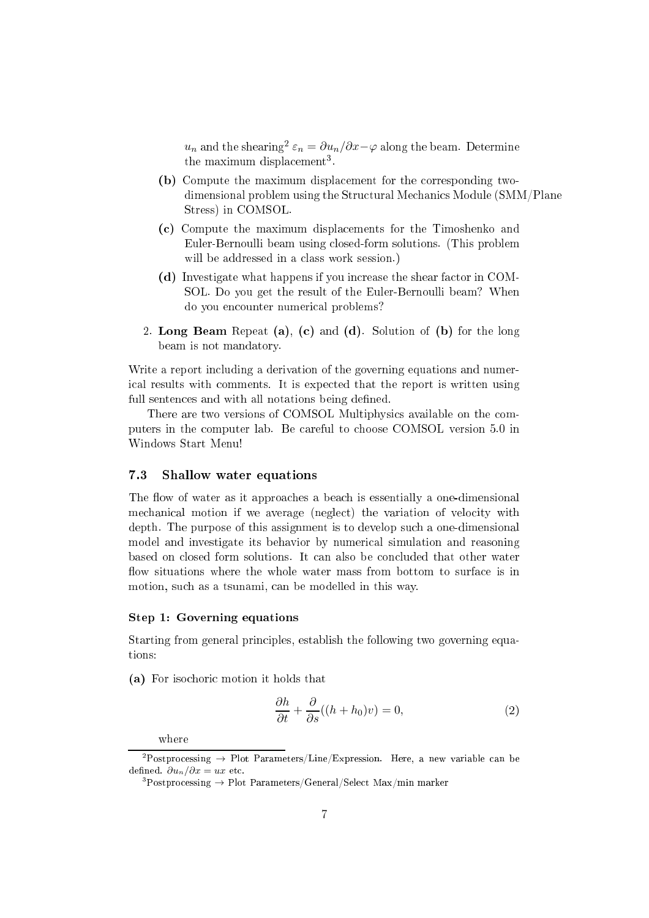$u_n$  and the shearing<sup>2</sup>  $\varepsilon_n = \partial u_n/\partial x - \varphi$  along the beam. Determine the maximum displacement .

- (b) Compute the maximum displa
ement for the orresponding twodimensional problem using the Structural Mechanics Module (SMM/Plane Stress) in COMSOL.
- (
) Compute the maximum displa
ements for the Timoshenko and Euler-Bernoulli beam using closed-form solutions. (This problem will be addressed in a class work session.)
- (d) Investigate what happens if you increase the shear factor in COM-SOL. Do you get the result of the Euler-Bernoulli beam? When do you en
ounter numeri
al problems?
- 2. Long Beam Repeat (a), (c) and (d). Solution of (b) for the long beam is not mandatory.

Write a report including a derivation of the governing equations and numeri
al results with omments. It is expe
ted that the report is written using full sentences and with all notations being defined.

There are two versions of COMSOL Multiphysics available on the computers in the omputer lab. Be areful to hoose COMSOL version 5.0 in Windows Start Menu!

## 7.3 Shallow water equations

The flow of water as it approaches a beach is essentially a one-dimensional mechanical motion if we average (neglect) the variation of velocity with depth. The purpose of this assignment is to develop su
h a one-dimensional model and investigate its behavior by numeri
al simulation and reasoning based on losed form solutions. It an also be on
luded that other water flow situations where the whole water mass from bottom to surface is in motion, such as a tsunami, can be modelled in this way.

#### Step 1: Governing equations

Starting from general principles, establish the following two governing equations:

(a) For iso
hori motion it holds that

$$
\frac{\partial h}{\partial t} + \frac{\partial}{\partial s}((h + h_0)v) = 0,\tag{2}
$$

where

<sup>&</sup>lt;sup>2</sup>Postprocessing  $\rightarrow$  Plot Parameters/Line/Expression. Here, a new variable can be defined.  $\partial u_n/\partial x = ux$  etc.

 ${}^{3}$ Postprocessing  $\rightarrow$  Plot Parameters/General/Select Max/min marker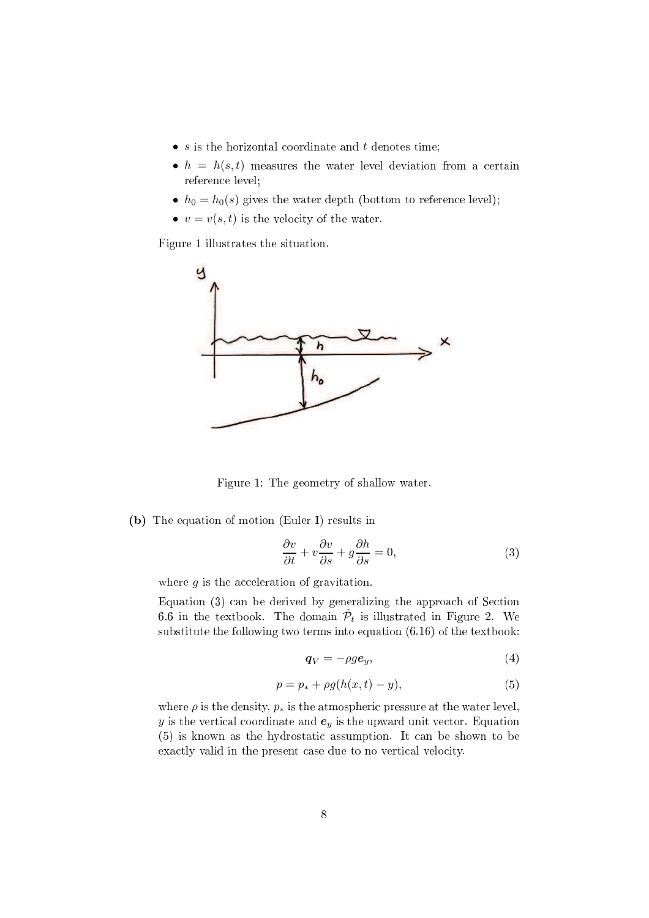- $\bullet$  s is the horizontal coordinate and t denotes time;
- $h = h(s, t)$  measures the water level deviation from a certain reference level;
- $h_0 = h_0(s)$  gives the water depth (bottom to reference level);
- $v = v(s, t)$  is the velocity of the water.

Figure 1 illustrates the situation.



Figure 1: The geometry of shallow water.

(b) The equation of motion (Euler I) results in

$$
\frac{\partial v}{\partial t} + v \frac{\partial v}{\partial s} + g \frac{\partial h}{\partial s} = 0, \tag{3}
$$

where  $g$  is the acceleration of gravitation.

Equation (3) can be derived by generalizing the approach of Section 6.6 in the textbook. The domain  $\hat{\mathcal{P}}_t$  is illustrated in Figure 2. We substitute the following two terms into equation (6.16) of the textbook:

$$
\boldsymbol{q}_V = -\rho g \boldsymbol{e}_y,\tag{4}
$$

$$
p = p_* + \rho g(h(x, t) - y),
$$
 (5)

where  $\rho$  is the density,  $p_*$  is the atmospheric pressure at the water level, y is the vertical coordinate and  $e_y$  is the upward unit vector. Equation (5) is known as the hydrostati assumption. It an be shown to be exactly valid in the present case due to no vertical velocity.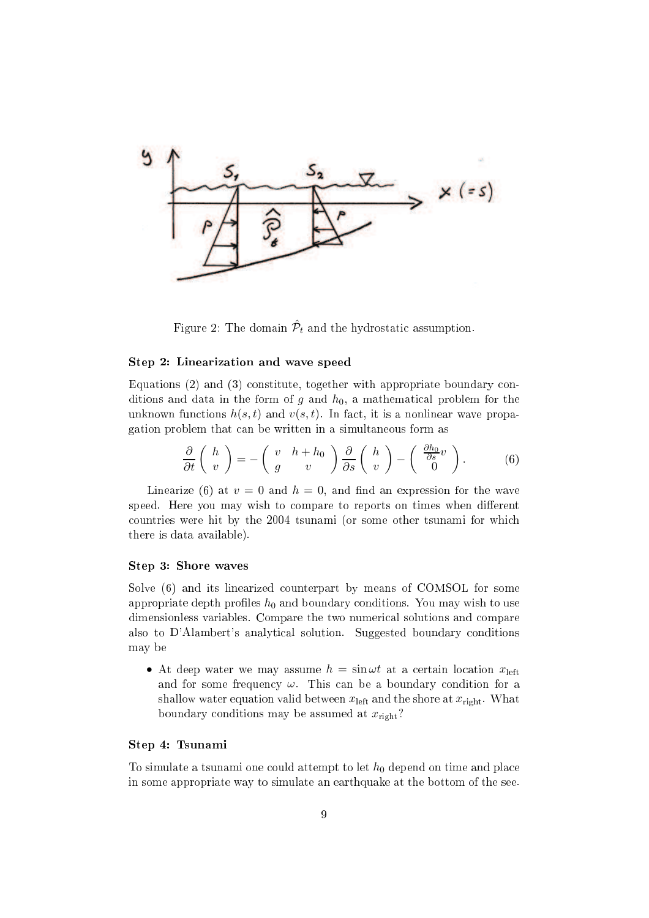

Figure 2: The domain  $\hat{\mathcal{P}}_t$  and the hydrostatic assumption.

#### Step 2: Linearization and wave speed

Equations (2) and (3) constitute, together with appropriate boundary conditions and data in the form of g and  $h_0$ , a mathematical problem for the unknown functions  $h(s,t)$  and  $v(s,t)$ . In fact, it is a nonlinear wave propagation problem that an be written in a simultaneous form as

$$
\frac{\partial}{\partial t}\begin{pmatrix} h \\ v \end{pmatrix} = -\begin{pmatrix} v & h+h_0 \\ g & v \end{pmatrix} \frac{\partial}{\partial s} \begin{pmatrix} h \\ v \end{pmatrix} - \begin{pmatrix} \frac{\partial h_0}{\partial s} v \\ 0 \end{pmatrix}.
$$
 (6)

Linearize (6) at  $v = 0$  and  $h = 0$ , and find an expression for the wave speed. Here you may wish to compare to reports on times when different ountries were hit by the 2004 tsunami (or some other tsunami for whi
h there is data available).

#### Step 3: Shore waves

Solve  $(6)$  and its linearized counterpart by means of COMSOL for some appropriate depth profiles  $h_0$  and boundary conditions. You may wish to use dimensionless variables. Compare the two numerical solutions and compare also to D'Alambert's analytical solution. Suggested boundary conditions may be

• At deep water we may assume  $h = \sin \omega t$  at a certain location  $x_{\text{left}}$ and for some frequency  $\omega$ . This can be a boundary condition for a shallow water equation valid between  $x_{\text{left}}$  and the shore at  $x_{\text{right}}$ . What boundary conditions may be assumed at  $x_{\text{right}}$ ?

#### Step 4: Tsunami

To simulate a tsunami one could attempt to let  $h_0$  depend on time and place in some appropriate way to simulate an earthquake at the bottom of the see.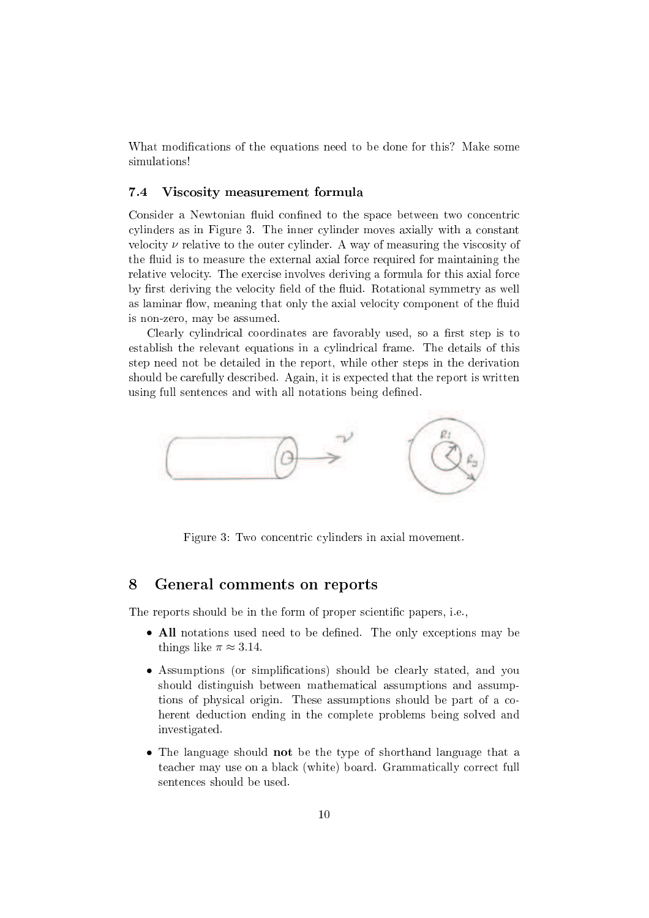What modifications of the equations need to be done for this? Make some simulations!

#### 7.4 Vis
osity measurement formula

Consider a Newtonian fluid confined to the space between two concentric cylinders as in Figure 3. The inner cylinder moves axially with a constant velocity  $\nu$  relative to the outer cylinder. A way of measuring the viscosity of the fluid is to measure the external axial force required for maintaining the relative velocity. The exercise involves deriving a formula for this axial force by first deriving the velocity field of the fluid. Rotational symmetry as well as laminar flow, meaning that only the axial velocity component of the fluid is non-zero, may be assumed.

Clearly cylindrical coordinates are favorably used, so a first step is to establish the relevant equations in a cylindrical frame. The details of this step need not be detailed in the report, while other steps in the derivation should be carefully described. Again, it is expected that the report is written using full sentences and with all notations being defined.



Figure 3: Two concentric cylinders in axial movement.

## <sup>8</sup> General omments on reports

The reports should be in the form of proper scientific papers, i.e.,

- All notations used need to be defined. The only exceptions may be things like  $\pi \approx 3.14$ .
- Assumptions (or simplifications) should be clearly stated, and you should distinguish between mathematical assumptions and assumptions of physi
al origin. These assumptions should be part of a oherent dedu
tion ending in the omplete problems being solved and investigated.
- The language should not be the type of shorthand language that a teacher may use on a black (white) board. Grammatically correct full senten
es should be used.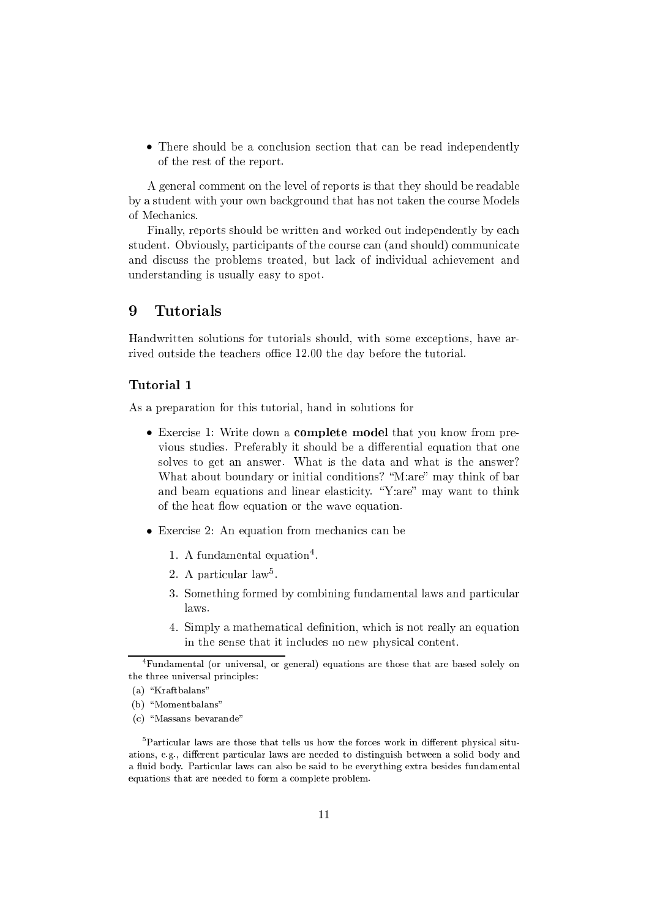• There should be a conclusion section that can be read independently of the rest of the report.

A general omment on the level of reports is that they should be readable by a student with your own ba
kground that has not taken the ourse Models of Mechanics.

Finally, reports should be written and worked out independently by ea
h student. Obviously, participants of the course can (and should) communicate and dis
uss the problems treated, but la
k of individual a
hievement and understanding is usually easy to spot.

#### **Tutorials** 9

Handwritten solutions for tutorials should, with some ex
eptions, have arrived outside the teachers office 12.00 the day before the tutorial.

#### Tutorial <sup>1</sup>

As a preparation for this tutorial, hand in solutions for

- Exercise 1: Write down a **complete model** that you know from previous studies. Preferably it should be a differential equation that one solves to get an answer. What is the data and what is the answer? What about boundary or initial conditions? "M:are" may think of bar and beam equations and linear elasticity. "Y:are" may want to think of the heat flow equation or the wave equation.
- Exercise 2: An equation from mechanics can be
	- 1. A fundamental equation -
	- z. A particular laws.
	- 3. Something formed by combining fundamental laws and particular laws.
	- 4. Simply a mathematical definition, which is not really an equation in the sense that it in
	ludes no new physi
	al ontent.

<sup>4</sup> Fundamental (or universal, or general) equations are those that are based solely on the three universal principles:

 $(a)$  "Kraftbalans"

<sup>(</sup>b) "Momentbalans"

<sup>(</sup>c) "Massans bevarande"

<sup>-</sup>Particular laws are those that tells us now the forces work in different physical situations, e.g., different particular laws are needed to distinguish between a solid body and a fluid body. Particular laws can also be said to be everything extra besides fundamental equations that are needed to form <sup>a</sup> omplete problem.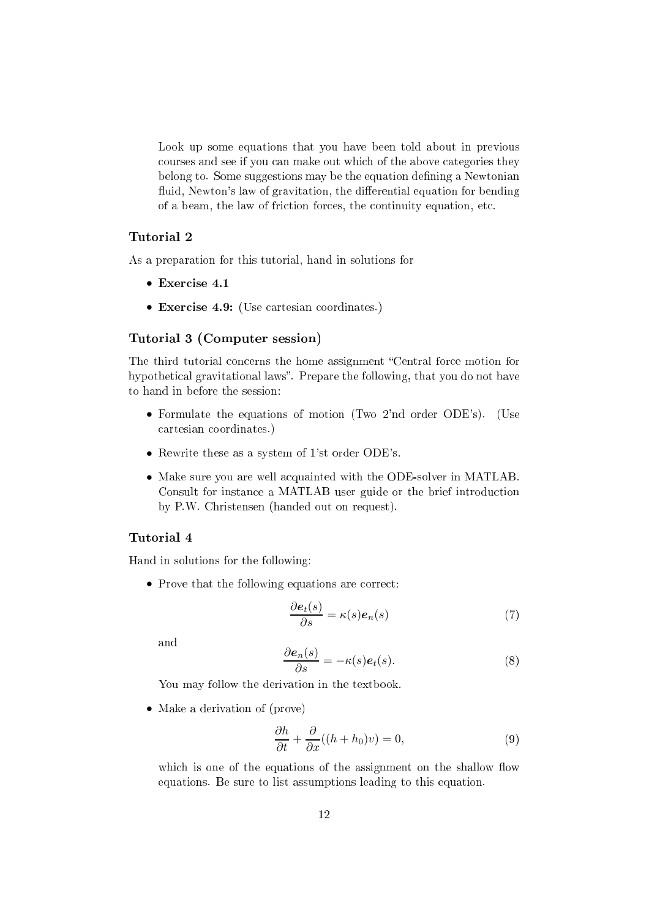Look up some equations that you have been told about in previous courses and see if you can make out which of the above categories they belong to. Some suggestions may be the equation defining a Newtonian fluid, Newton's law of gravitation, the differential equation for bending of a beam, the law of fri
tion for
es, the ontinuity equation, et
.

# Tutorial <sup>2</sup>

As a preparation for this tutorial, hand in solutions for

- Exer
ise 4.1
- Exercise 4.9: (Use cartesian coordinates.)

## Tutorial <sup>3</sup> (Computer session)

The third tutorial concerns the home assignment "Central force motion for hypothetical gravitational laws". Prepare the following, that you do not have to hand in before the session:

- Formulate the equations of motion (Two 2'nd order ODE's). (Use artesian oordinates.)
- Rewrite these as a system of 1'st order ODE's.
- Make sure you are well a
quainted with the ODE-solver in MATLAB. Consult for instance a MATLAB user guide or the brief introduction by P.W. Christensen (handed out on request).

### Tutorial <sup>4</sup>

Hand in solutions for the following:

• Prove that the following equations are correct:

$$
\frac{\partial e_t(s)}{\partial s} = \kappa(s) e_n(s) \tag{7}
$$

and

$$
\frac{\partial \mathbf{e}_n(s)}{\partial s} = -\kappa(s)\mathbf{e}_t(s). \tag{8}
$$

You may follow the derivation in the textbook.

• Make a derivation of (prove)

$$
\frac{\partial h}{\partial t} + \frac{\partial}{\partial x}((h + h_0)v) = 0,\tag{9}
$$

which is one of the equations of the assignment on the shallow flow equations. Be sure to list assumptions leading to this equation.